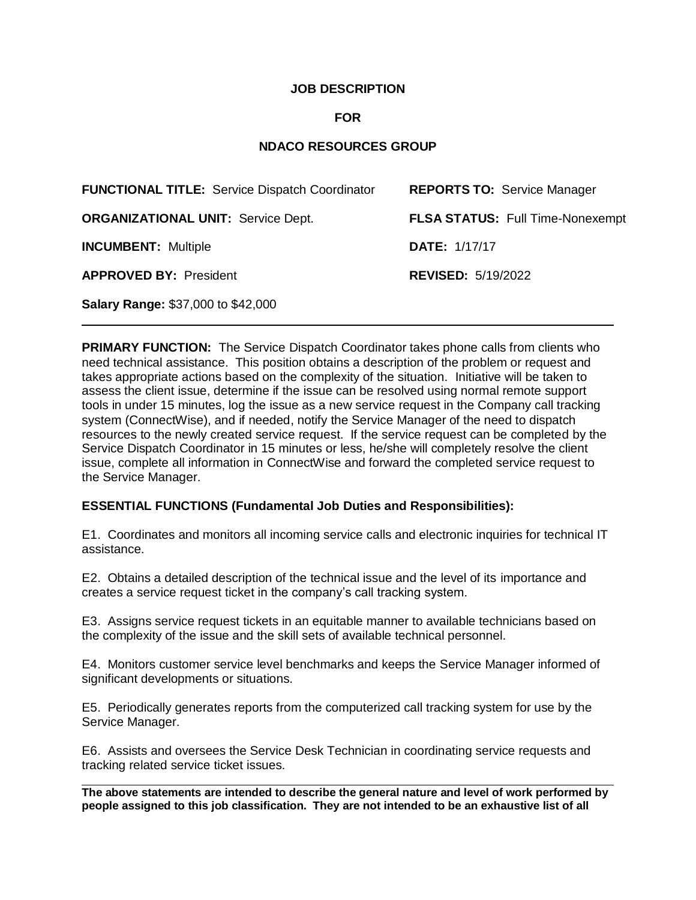## **JOB DESCRIPTION**

## **FOR**

# **NDACO RESOURCES GROUP**

| <b>FUNCTIONAL TITLE: Service Dispatch Coordinator</b> | <b>REPORTS TO: Service Manager</b> |
|-------------------------------------------------------|------------------------------------|
| <b>ORGANIZATIONAL UNIT: Service Dept.</b>             | FLSA STATUS: Full Time-Nonexempt   |
| <b>INCUMBENT: Multiple</b>                            | <b>DATE: 1/17/17</b>               |
| <b>APPROVED BY: President</b>                         | <b>REVISED: 5/19/2022</b>          |
| <b>Salary Range: \$37,000 to \$42,000</b>             |                                    |

**PRIMARY FUNCTION:** The Service Dispatch Coordinator takes phone calls from clients who need technical assistance. This position obtains a description of the problem or request and takes appropriate actions based on the complexity of the situation. Initiative will be taken to assess the client issue, determine if the issue can be resolved using normal remote support tools in under 15 minutes, log the issue as a new service request in the Company call tracking system (ConnectWise), and if needed, notify the Service Manager of the need to dispatch resources to the newly created service request. If the service request can be completed by the Service Dispatch Coordinator in 15 minutes or less, he/she will completely resolve the client issue, complete all information in ConnectWise and forward the completed service request to the Service Manager.

### **ESSENTIAL FUNCTIONS (Fundamental Job Duties and Responsibilities):**

E1. Coordinates and monitors all incoming service calls and electronic inquiries for technical IT assistance.

E2. Obtains a detailed description of the technical issue and the level of its importance and creates a service request ticket in the company's call tracking system.

E3. Assigns service request tickets in an equitable manner to available technicians based on the complexity of the issue and the skill sets of available technical personnel.

E4. Monitors customer service level benchmarks and keeps the Service Manager informed of significant developments or situations.

E5. Periodically generates reports from the computerized call tracking system for use by the Service Manager.

E6. Assists and oversees the Service Desk Technician in coordinating service requests and tracking related service ticket issues.

**The above statements are intended to describe the general nature and level of work performed by people assigned to this job classification. They are not intended to be an exhaustive list of all**